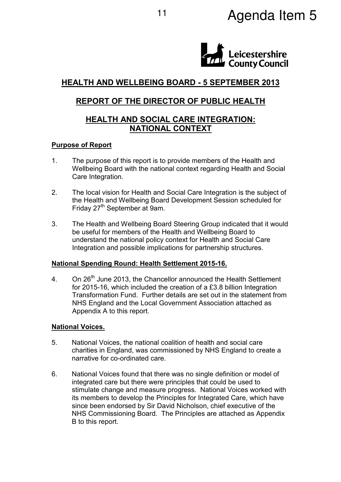# 11 **Agenda Item 5**



# HEALTH AND WELLBEING BOARD - 5 SEPTEMBER 2013

# REPORT OF THE DIRECTOR OF PUBLIC HEALTH

## HEALTH AND SOCIAL CARE INTEGRATION: NATIONAL CONTEXT

### Purpose of Report

- 1. The purpose of this report is to provide members of the Health and Wellbeing Board with the national context regarding Health and Social Care Integration.
- 2. The local vision for Health and Social Care Integration is the subject of the Health and Wellbeing Board Development Session scheduled for Friday 27<sup>th</sup> September at 9am.
- 3. The Health and Wellbeing Board Steering Group indicated that it would be useful for members of the Health and Wellbeing Board to understand the national policy context for Health and Social Care Integration and possible implications for partnership structures.

## National Spending Round: Health Settlement 2015-16.

4. On 26<sup>th</sup> June 2013, the Chancellor announced the Health Settlement for 2015-16, which included the creation of a £3.8 billion Integration Transformation Fund. Further details are set out in the statement from NHS England and the Local Government Association attached as Appendix A to this report.

#### National Voices.

- 5. National Voices, the national coalition of health and social care charities in England, was commissioned by NHS England to create a narrative for co-ordinated care.
- 6. National Voices found that there was no single definition or model of integrated care but there were principles that could be used to stimulate change and measure progress. National Voices worked with its members to develop the Principles for Integrated Care, which have since been endorsed by Sir David Nicholson, chief executive of the NHS Commissioning Board. The Principles are attached as Appendix B to this report.